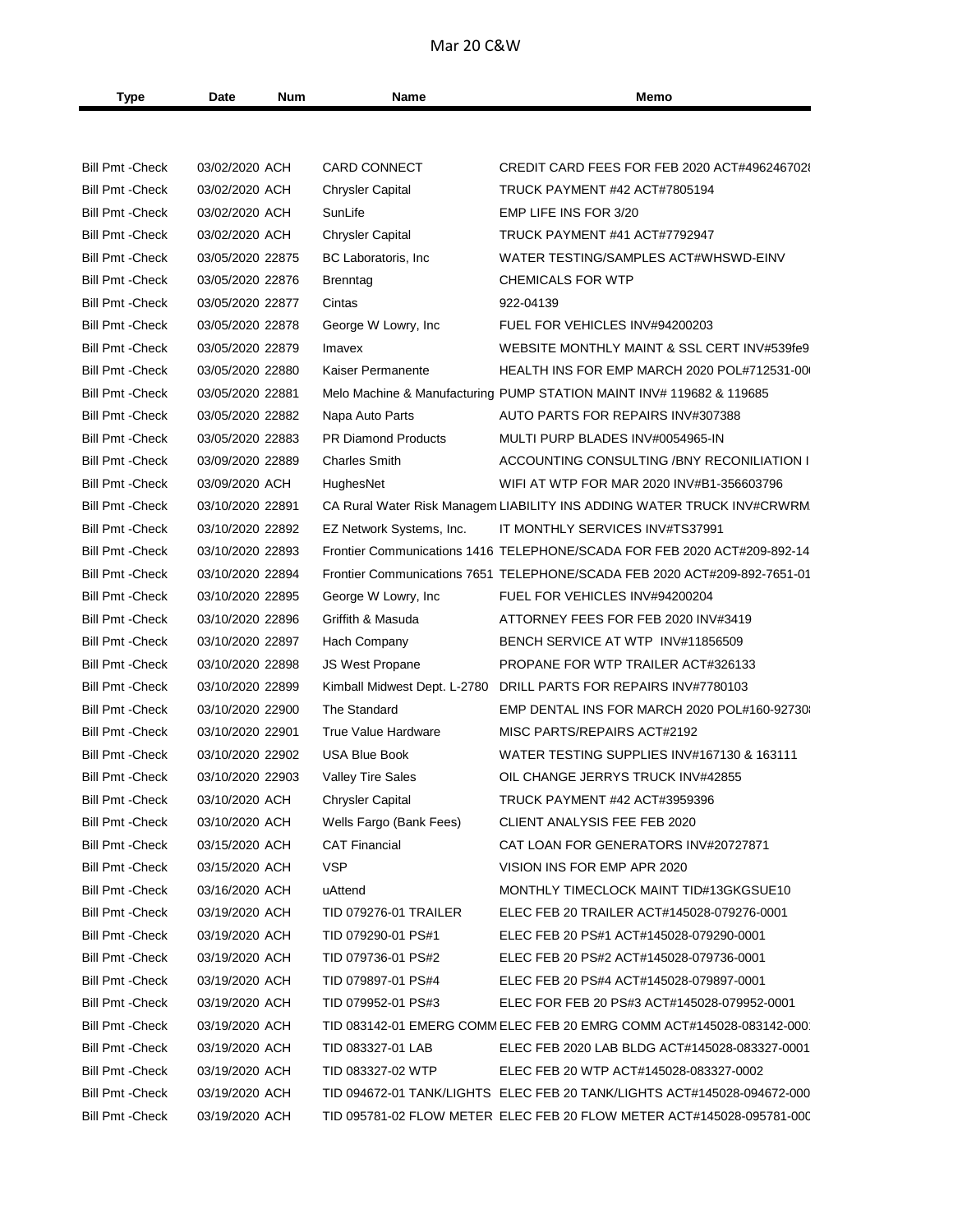## Mar 20 C&W

| Type                    | Date             | Num | Name                                     | Memo                                                                      |
|-------------------------|------------------|-----|------------------------------------------|---------------------------------------------------------------------------|
|                         |                  |     |                                          |                                                                           |
|                         |                  |     |                                          |                                                                           |
| <b>Bill Pmt - Check</b> | 03/02/2020 ACH   |     | <b>CARD CONNECT</b>                      | CREDIT CARD FEES FOR FEB 2020 ACT#4962467028                              |
| <b>Bill Pmt - Check</b> | 03/02/2020 ACH   |     | <b>Chrysler Capital</b>                  | TRUCK PAYMENT #42 ACT#7805194                                             |
| <b>Bill Pmt - Check</b> | 03/02/2020 ACH   |     | SunLife                                  | EMP LIFE INS FOR 3/20                                                     |
| <b>Bill Pmt - Check</b> | 03/02/2020 ACH   |     | <b>Chrysler Capital</b>                  | TRUCK PAYMENT #41 ACT#7792947                                             |
| <b>Bill Pmt - Check</b> | 03/05/2020 22875 |     | BC Laboratoris, Inc.                     | WATER TESTING/SAMPLES ACT#WHSWD-EINV                                      |
| <b>Bill Pmt - Check</b> | 03/05/2020 22876 |     | Brenntag                                 | <b>CHEMICALS FOR WTP</b>                                                  |
| <b>Bill Pmt - Check</b> | 03/05/2020 22877 |     | Cintas                                   | 922-04139                                                                 |
| <b>Bill Pmt - Check</b> | 03/05/2020 22878 |     | George W Lowry, Inc.                     | FUEL FOR VEHICLES INV#94200203                                            |
| <b>Bill Pmt - Check</b> | 03/05/2020 22879 |     | Imavex                                   | WEBSITE MONTHLY MAINT & SSL CERT INV#539fe9                               |
| <b>Bill Pmt - Check</b> | 03/05/2020 22880 |     | Kaiser Permanente                        | HEALTH INS FOR EMP MARCH 2020 POL#712531-00                               |
| <b>Bill Pmt - Check</b> | 03/05/2020 22881 |     |                                          | Melo Machine & Manufacturing PUMP STATION MAINT INV# 119682 & 119685      |
| <b>Bill Pmt - Check</b> | 03/05/2020 22882 |     | Napa Auto Parts                          | AUTO PARTS FOR REPAIRS INV#307388                                         |
| <b>Bill Pmt - Check</b> | 03/05/2020 22883 |     | <b>PR Diamond Products</b>               | MULTI PURP BLADES INV#0054965-IN                                          |
| <b>Bill Pmt - Check</b> | 03/09/2020 22889 |     | <b>Charles Smith</b>                     | ACCOUNTING CONSULTING /BNY RECONILIATION I                                |
| <b>Bill Pmt - Check</b> | 03/09/2020 ACH   |     | HughesNet                                | WIFI AT WTP FOR MAR 2020 INV#B1-356603796                                 |
| <b>Bill Pmt - Check</b> | 03/10/2020 22891 |     |                                          | CA Rural Water Risk Managem LIABILITY INS ADDING WATER TRUCK INV#CRWRM    |
| <b>Bill Pmt - Check</b> | 03/10/2020 22892 |     | EZ Network Systems, Inc.                 | IT MONTHLY SERVICES INV#TS37991                                           |
| <b>Bill Pmt - Check</b> | 03/10/2020 22893 |     |                                          | Frontier Communications 1416 TELEPHONE/SCADA FOR FEB 2020 ACT#209-892-14  |
| <b>Bill Pmt - Check</b> | 03/10/2020 22894 |     |                                          | Frontier Communications 7651 TELEPHONE/SCADA FEB 2020 ACT#209-892-7651-01 |
| <b>Bill Pmt - Check</b> | 03/10/2020 22895 |     | George W Lowry, Inc.                     | FUEL FOR VEHICLES INV#94200204                                            |
| <b>Bill Pmt - Check</b> | 03/10/2020 22896 |     | Griffith & Masuda                        | ATTORNEY FEES FOR FEB 2020 INV#3419                                       |
| <b>Bill Pmt - Check</b> | 03/10/2020 22897 |     | Hach Company                             | BENCH SERVICE AT WTP INV#11856509                                         |
| <b>Bill Pmt - Check</b> | 03/10/2020 22898 |     | <b>JS West Propane</b>                   | PROPANE FOR WTP TRAILER ACT#326133                                        |
| <b>Bill Pmt - Check</b> | 03/10/2020 22899 |     |                                          | Kimball Midwest Dept. L-2780 DRILL PARTS FOR REPAIRS INV#7780103          |
| <b>Bill Pmt - Check</b> | 03/10/2020 22900 |     | The Standard                             | EMP DENTAL INS FOR MARCH 2020 POL#160-92730                               |
| <b>Bill Pmt - Check</b> | 03/10/2020 22901 |     | True Value Hardware                      | MISC PARTS/REPAIRS ACT#2192                                               |
| <b>Bill Pmt - Check</b> | 03/10/2020 22902 |     | <b>USA Blue Book</b>                     | WATER TESTING SUPPLIES INV#167130 & 163111                                |
| <b>Bill Pmt - Check</b> | 03/10/2020 22903 |     | <b>Valley Tire Sales</b>                 | OIL CHANGE JERRYS TRUCK INV#42855                                         |
| Bill Pmt - Check        | 03/10/2020 ACH   |     | <b>Chrysler Capital</b>                  | TRUCK PAYMENT #42 ACT#3959396                                             |
| <b>Bill Pmt - Check</b> | 03/10/2020 ACH   |     | Wells Fargo (Bank Fees)                  | CLIENT ANALYSIS FEE FEB 2020                                              |
| <b>Bill Pmt - Check</b> | 03/15/2020 ACH   |     | <b>CAT Financial</b>                     | CAT LOAN FOR GENERATORS INV#20727871                                      |
| <b>Bill Pmt - Check</b> | 03/15/2020 ACH   |     | <b>VSP</b>                               | VISION INS FOR EMP APR 2020                                               |
| <b>Bill Pmt - Check</b> | 03/16/2020 ACH   |     | uAttend                                  | MONTHLY TIMECLOCK MAINT TID#13GKGSUE10                                    |
| <b>Bill Pmt - Check</b> | 03/19/2020 ACH   |     | TID 079276-01 TRAILER                    | ELEC FEB 20 TRAILER ACT#145028-079276-0001                                |
| <b>Bill Pmt - Check</b> |                  |     |                                          | ELEC FEB 20 PS#1 ACT#145028-079290-0001                                   |
|                         | 03/19/2020 ACH   |     | TID 079290-01 PS#1<br>TID 079736-01 PS#2 |                                                                           |
| <b>Bill Pmt - Check</b> | 03/19/2020 ACH   |     | TID 079897-01 PS#4                       | ELEC FEB 20 PS#2 ACT#145028-079736-0001                                   |
| <b>Bill Pmt - Check</b> | 03/19/2020 ACH   |     |                                          | ELEC FEB 20 PS#4 ACT#145028-079897-0001                                   |
| <b>Bill Pmt - Check</b> | 03/19/2020 ACH   |     | TID 079952-01 PS#3                       | ELEC FOR FEB 20 PS#3 ACT#145028-079952-0001                               |
| <b>Bill Pmt - Check</b> | 03/19/2020 ACH   |     |                                          | TID 083142-01 EMERG COMM ELEC FEB 20 EMRG COMM ACT#145028-083142-000      |
| <b>Bill Pmt - Check</b> | 03/19/2020 ACH   |     | TID 083327-01 LAB                        | ELEC FEB 2020 LAB BLDG ACT#145028-083327-0001                             |
| <b>Bill Pmt - Check</b> | 03/19/2020 ACH   |     | TID 083327-02 WTP                        | ELEC FEB 20 WTP ACT#145028-083327-0002                                    |
| <b>Bill Pmt - Check</b> | 03/19/2020 ACH   |     |                                          | TID 094672-01 TANK/LIGHTS ELEC FEB 20 TANK/LIGHTS ACT#145028-094672-000   |
| <b>Bill Pmt - Check</b> | 03/19/2020 ACH   |     |                                          | TID 095781-02 FLOW METER ELEC FEB 20 FLOW METER ACT#145028-095781-000     |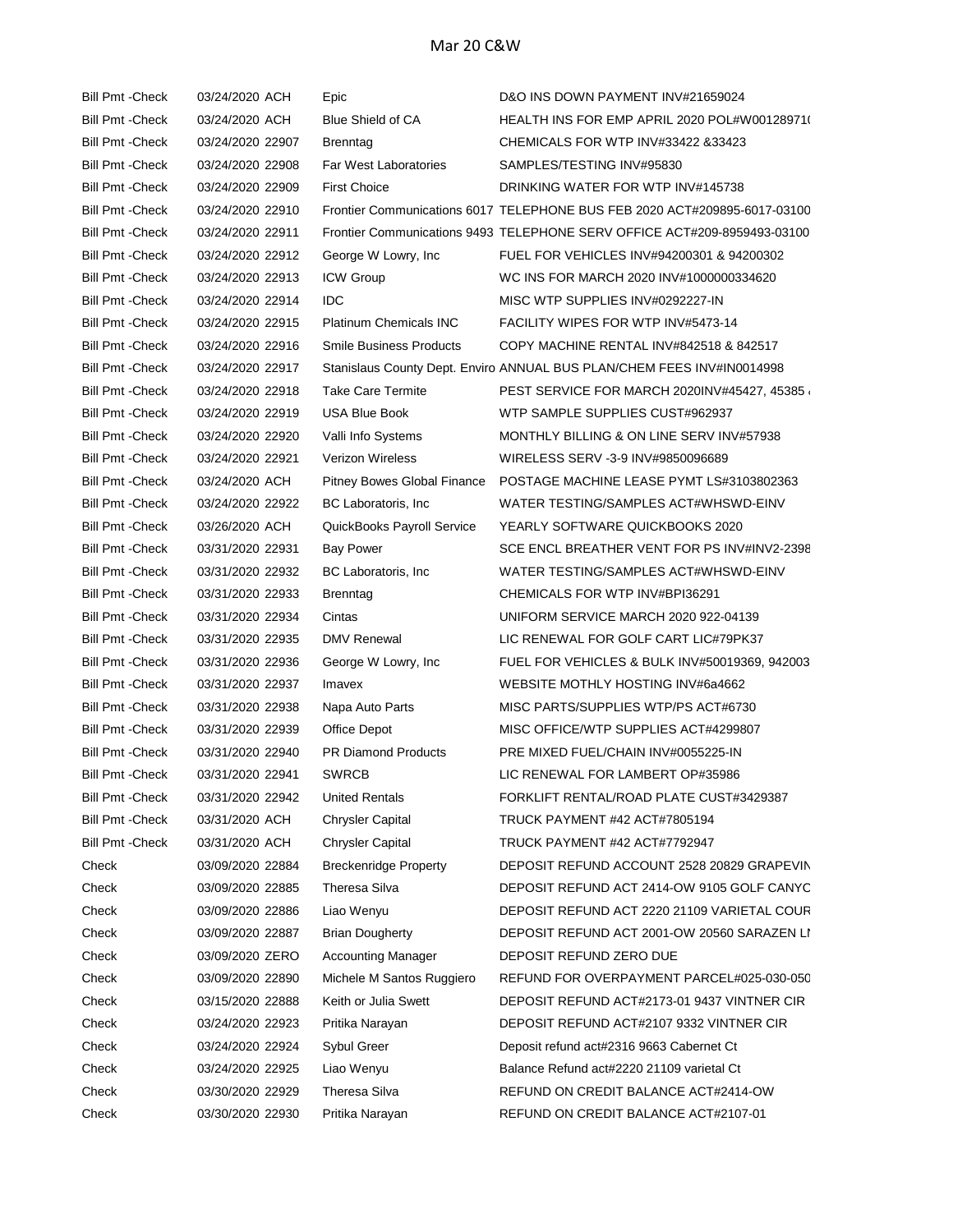| <b>Bill Pmt - Check</b> | 03/24/2020 ACH   | Epic                           | D&O INS DOWN PAYMENT INV#21659024                                         |
|-------------------------|------------------|--------------------------------|---------------------------------------------------------------------------|
| <b>Bill Pmt - Check</b> | 03/24/2020 ACH   | <b>Blue Shield of CA</b>       | HEALTH INS FOR EMP APRIL 2020 POL#W00128971(                              |
| <b>Bill Pmt - Check</b> | 03/24/2020 22907 | <b>Brenntag</b>                | CHEMICALS FOR WTP INV#33422 &33423                                        |
| <b>Bill Pmt - Check</b> | 03/24/2020 22908 | <b>Far West Laboratories</b>   | SAMPLES/TESTING INV#95830                                                 |
| <b>Bill Pmt - Check</b> | 03/24/2020 22909 | <b>First Choice</b>            | DRINKING WATER FOR WTP INV#145738                                         |
| <b>Bill Pmt - Check</b> | 03/24/2020 22910 |                                | Frontier Communications 6017 TELEPHONE BUS FEB 2020 ACT#209895-6017-03100 |
| <b>Bill Pmt - Check</b> | 03/24/2020 22911 |                                | Frontier Communications 9493 TELEPHONE SERV OFFICE ACT#209-8959493-03100  |
| <b>Bill Pmt - Check</b> | 03/24/2020 22912 | George W Lowry, Inc.           | FUEL FOR VEHICLES INV#94200301 & 94200302                                 |
| <b>Bill Pmt - Check</b> | 03/24/2020 22913 | <b>ICW Group</b>               | WC INS FOR MARCH 2020 INV#1000000334620                                   |
| <b>Bill Pmt - Check</b> | 03/24/2020 22914 | <b>IDC</b>                     | MISC WTP SUPPLIES INV#0292227-IN                                          |
| <b>Bill Pmt - Check</b> | 03/24/2020 22915 | <b>Platinum Chemicals INC</b>  | FACILITY WIPES FOR WTP INV#5473-14                                        |
| <b>Bill Pmt - Check</b> | 03/24/2020 22916 | <b>Smile Business Products</b> | COPY MACHINE RENTAL INV#842518 & 842517                                   |
| <b>Bill Pmt - Check</b> | 03/24/2020 22917 |                                | Stanislaus County Dept. Enviro ANNUAL BUS PLAN/CHEM FEES INV#IN0014998    |
| <b>Bill Pmt - Check</b> | 03/24/2020 22918 | <b>Take Care Termite</b>       | PEST SERVICE FOR MARCH 2020INV#45427, 45385                               |
| <b>Bill Pmt - Check</b> | 03/24/2020 22919 | <b>USA Blue Book</b>           | WTP SAMPLE SUPPLIES CUST#962937                                           |
| <b>Bill Pmt - Check</b> | 03/24/2020 22920 | Valli Info Systems             | MONTHLY BILLING & ON LINE SERV INV#57938                                  |
| <b>Bill Pmt - Check</b> | 03/24/2020 22921 | <b>Verizon Wireless</b>        | WIRELESS SERV -3-9 INV#9850096689                                         |
| <b>Bill Pmt - Check</b> | 03/24/2020 ACH   | Pitney Bowes Global Finance    | POSTAGE MACHINE LEASE PYMT LS#3103802363                                  |
| <b>Bill Pmt - Check</b> | 03/24/2020 22922 | BC Laboratoris, Inc.           | WATER TESTING/SAMPLES ACT#WHSWD-EINV                                      |
| <b>Bill Pmt - Check</b> | 03/26/2020 ACH   | QuickBooks Payroll Service     | YEARLY SOFTWARE QUICKBOOKS 2020                                           |
| <b>Bill Pmt - Check</b> | 03/31/2020 22931 | <b>Bay Power</b>               | SCE ENCL BREATHER VENT FOR PS INV#INV2-2398                               |
| <b>Bill Pmt - Check</b> | 03/31/2020 22932 | BC Laboratoris, Inc.           | WATER TESTING/SAMPLES ACT#WHSWD-EINV                                      |
| <b>Bill Pmt - Check</b> | 03/31/2020 22933 | Brenntag                       | CHEMICALS FOR WTP INV#BPI36291                                            |
| <b>Bill Pmt - Check</b> | 03/31/2020 22934 | Cintas                         | UNIFORM SERVICE MARCH 2020 922-04139                                      |
| <b>Bill Pmt - Check</b> | 03/31/2020 22935 | <b>DMV Renewal</b>             | LIC RENEWAL FOR GOLF CART LIC#79PK37                                      |
| <b>Bill Pmt - Check</b> | 03/31/2020 22936 | George W Lowry, Inc            | FUEL FOR VEHICLES & BULK INV#50019369, 942003                             |
| <b>Bill Pmt - Check</b> | 03/31/2020 22937 | Imavex                         | WEBSITE MOTHLY HOSTING INV#6a4662                                         |
| <b>Bill Pmt - Check</b> | 03/31/2020 22938 | Napa Auto Parts                | MISC PARTS/SUPPLIES WTP/PS ACT#6730                                       |
| <b>Bill Pmt - Check</b> | 03/31/2020 22939 | Office Depot                   | MISC OFFICE/WTP SUPPLIES ACT#4299807                                      |
| <b>Bill Pmt - Check</b> | 03/31/2020 22940 | <b>PR Diamond Products</b>     | PRE MIXED FUEL/CHAIN INV#0055225-IN                                       |
| <b>Bill Pmt - Check</b> | 03/31/2020 22941 | <b>SWRCB</b>                   | LIC RENEWAL FOR LAMBERT OP#35986                                          |
| <b>Bill Pmt - Check</b> | 03/31/2020 22942 | <b>United Rentals</b>          | FORKLIFT RENTAL/ROAD PLATE CUST#3429387                                   |
| <b>Bill Pmt - Check</b> | 03/31/2020 ACH   | Chrysler Capital               | TRUCK PAYMENT #42 ACT#7805194                                             |
| <b>Bill Pmt -Check</b>  | 03/31/2020 ACH   | <b>Chrysler Capital</b>        | TRUCK PAYMENT #42 ACT#7792947                                             |
| Check                   | 03/09/2020 22884 | <b>Breckenridge Property</b>   | DEPOSIT REFUND ACCOUNT 2528 20829 GRAPEVIN                                |
| Check                   | 03/09/2020 22885 | Theresa Silva                  | DEPOSIT REFUND ACT 2414-OW 9105 GOLF CANYC                                |
| Check                   | 03/09/2020 22886 | Liao Wenyu                     | DEPOSIT REFUND ACT 2220 21109 VARIETAL COUR                               |
| Check                   | 03/09/2020 22887 | <b>Brian Dougherty</b>         | DEPOSIT REFUND ACT 2001-OW 20560 SARAZEN LI                               |
| Check                   | 03/09/2020 ZERO  | <b>Accounting Manager</b>      | DEPOSIT REFUND ZERO DUE                                                   |
| Check                   | 03/09/2020 22890 | Michele M Santos Ruggiero      | REFUND FOR OVERPAYMENT PARCEL#025-030-050                                 |
| Check                   | 03/15/2020 22888 | Keith or Julia Swett           | DEPOSIT REFUND ACT#2173-01 9437 VINTNER CIR                               |
| Check                   | 03/24/2020 22923 | Pritika Narayan                | DEPOSIT REFUND ACT#2107 9332 VINTNER CIR                                  |
| Check                   | 03/24/2020 22924 | Sybul Greer                    | Deposit refund act#2316 9663 Cabernet Ct                                  |
| Check                   | 03/24/2020 22925 | Liao Wenyu                     | Balance Refund act#2220 21109 varietal Ct                                 |
| Check                   | 03/30/2020 22929 | Theresa Silva                  | REFUND ON CREDIT BALANCE ACT#2414-OW                                      |
| Check                   | 03/30/2020 22930 | Pritika Narayan                | REFUND ON CREDIT BALANCE ACT#2107-01                                      |
|                         |                  |                                |                                                                           |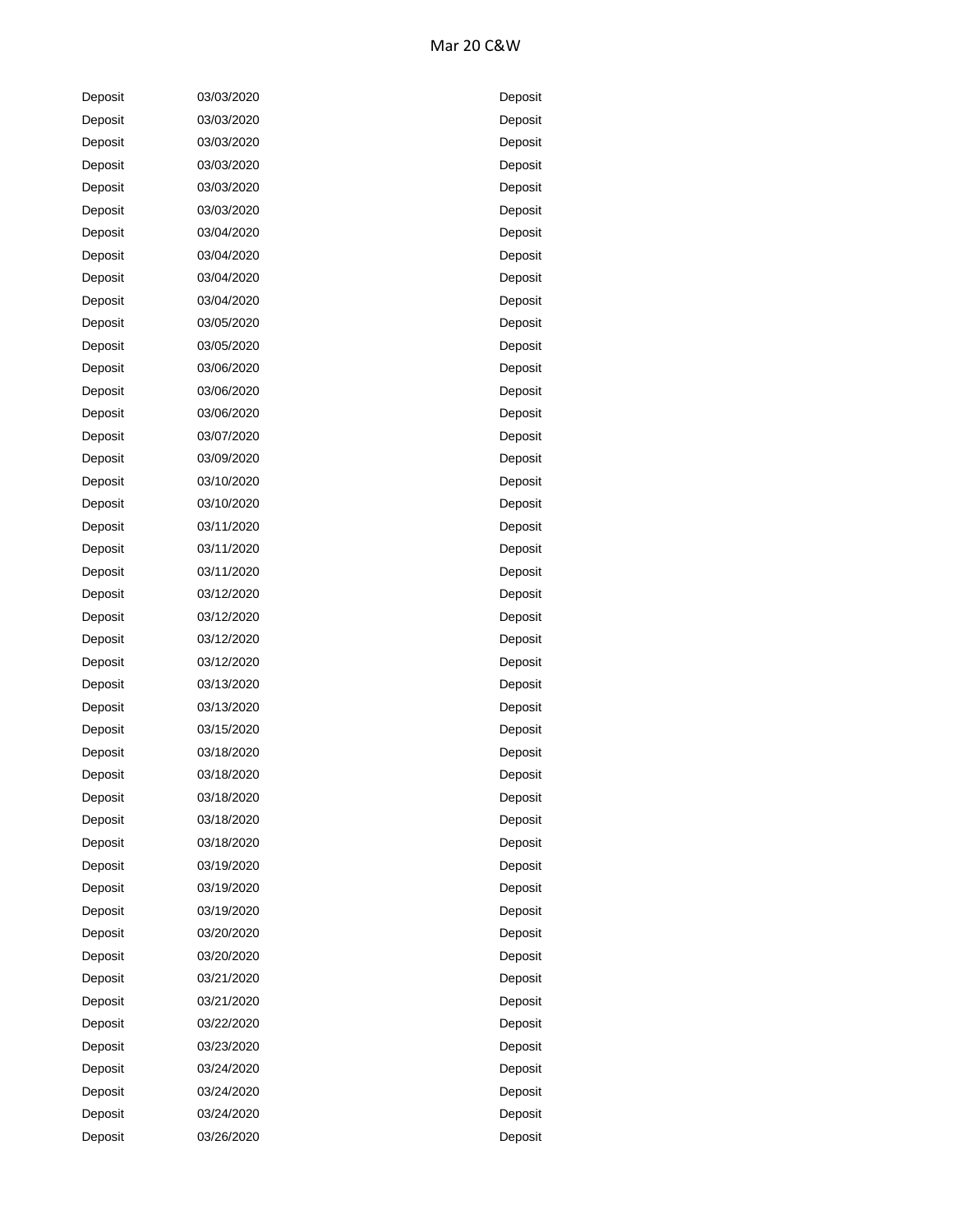## Mar 20 C&W

| Deposit | 03/03/2020 | Deposit |
|---------|------------|---------|
| Deposit | 03/03/2020 | Deposit |
| Deposit | 03/03/2020 | Deposit |
| Deposit | 03/03/2020 | Deposit |
| Deposit | 03/03/2020 | Deposit |
| Deposit | 03/03/2020 | Deposit |
| Deposit | 03/04/2020 | Deposit |
| Deposit | 03/04/2020 | Deposit |
| Deposit | 03/04/2020 | Deposit |
| Deposit | 03/04/2020 | Deposit |
| Deposit | 03/05/2020 | Deposit |
| Deposit | 03/05/2020 | Deposit |
| Deposit | 03/06/2020 | Deposit |
| Deposit | 03/06/2020 | Deposit |
| Deposit | 03/06/2020 | Deposit |
| Deposit | 03/07/2020 | Deposit |
| Deposit | 03/09/2020 | Deposit |
| Deposit | 03/10/2020 | Deposit |
| Deposit | 03/10/2020 | Deposit |
| Deposit | 03/11/2020 | Deposit |
| Deposit | 03/11/2020 | Deposit |
| Deposit | 03/11/2020 | Deposit |
| Deposit | 03/12/2020 | Deposit |
| Deposit | 03/12/2020 | Deposit |
| Deposit | 03/12/2020 | Deposit |
| Deposit | 03/12/2020 | Deposit |
| Deposit | 03/13/2020 | Deposit |
| Deposit | 03/13/2020 | Deposit |
| Deposit | 03/15/2020 | Deposit |
| Deposit | 03/18/2020 | Deposit |
| Deposit | 03/18/2020 | Deposit |
| Deposit | 03/18/2020 | Deposit |
| Deposit | 03/18/2020 | Deposit |
| Deposit | 03/18/2020 | Deposit |
| Deposit | 03/19/2020 | Deposit |
| Deposit | 03/19/2020 | Deposit |
| Deposit | 03/19/2020 | Deposit |
| Deposit | 03/20/2020 | Deposit |
| Deposit | 03/20/2020 | Deposit |
| Deposit | 03/21/2020 | Deposit |
| Deposit | 03/21/2020 | Deposit |
| Deposit | 03/22/2020 | Deposit |
| Deposit | 03/23/2020 | Deposit |
| Deposit | 03/24/2020 | Deposit |
| Deposit | 03/24/2020 | Deposit |
| Deposit | 03/24/2020 | Deposit |
| Deposit | 03/26/2020 | Deposit |

| I<br>)eposit |
|--------------|
| Deposit      |
| Deposit      |
| Deposit      |
| Deposit      |
| Deposit      |
| Deposit      |
| Deposit      |
| Deposit      |
| Deposit      |
| Deposit      |
| Deposit      |
| Deposit      |
| Deposit      |
| Deposit      |
| Deposit      |
| Deposit      |
| Deposit      |
| Deposit      |
| Deposit      |
| Deposit      |
| Deposit      |
| Deposit      |
| Deposit      |
| Deposit      |
| Deposit      |
| Deposit      |
| Deposit      |
| Deposit      |
| Deposit      |
| Deposit      |
|              |
| Deposit      |
| Deposit      |
| Deposit      |
| Deposit      |
| Deposit      |
| Deposit      |
| Deposit      |
| Deposit      |
| Deposit      |
| Deposit      |
| Deposit      |
| Deposit      |
| Deposit      |
| Deposit      |
| Deposit      |
| Deposit      |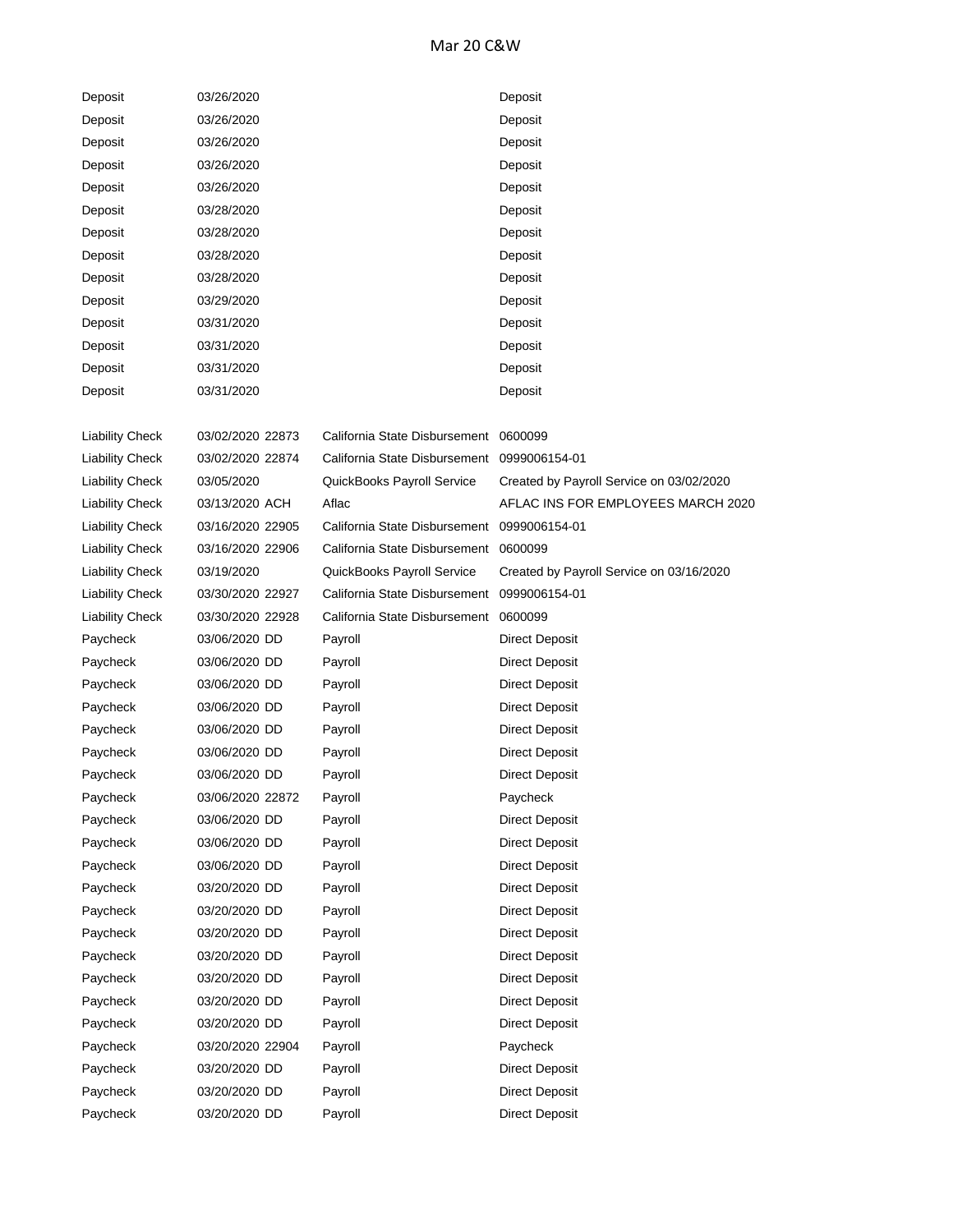## Mar 20 C&W

| Deposit | 03/26/2020 | Deposit |
|---------|------------|---------|
| Deposit | 03/26/2020 | Deposit |
| Deposit | 03/26/2020 | Deposit |
| Deposit | 03/26/2020 | Deposit |
| Deposit | 03/26/2020 | Deposit |
| Deposit | 03/28/2020 | Deposit |
| Deposit | 03/28/2020 | Deposit |
| Deposit | 03/28/2020 | Deposit |
| Deposit | 03/28/2020 | Deposit |
| Deposit | 03/29/2020 | Deposit |
| Deposit | 03/31/2020 | Deposit |
| Deposit | 03/31/2020 | Deposit |
| Deposit | 03/31/2020 | Deposit |
| Deposit | 03/31/2020 | Deposit |

| <b>Liability Check</b> | 03/02/2020 22873 | California State Disbursement 0600099       |                                          |
|------------------------|------------------|---------------------------------------------|------------------------------------------|
| <b>Liability Check</b> | 03/02/2020 22874 | California State Disbursement 0999006154-01 |                                          |
| <b>Liability Check</b> | 03/05/2020       | QuickBooks Payroll Service                  | Created by Payroll Service on 03/02/2020 |
| <b>Liability Check</b> | 03/13/2020 ACH   | Aflac                                       | AFLAC INS FOR EMPLOYEES MARCH 2020       |
| <b>Liability Check</b> | 03/16/2020 22905 | California State Disbursement 0999006154-01 |                                          |
| <b>Liability Check</b> | 03/16/2020 22906 | California State Disbursement               | 0600099                                  |
| <b>Liability Check</b> | 03/19/2020       | QuickBooks Payroll Service                  | Created by Payroll Service on 03/16/2020 |
| <b>Liability Check</b> | 03/30/2020 22927 | California State Disbursement               | 0999006154-01                            |
| <b>Liability Check</b> | 03/30/2020 22928 | California State Disbursement               | 0600099                                  |
| Paycheck               | 03/06/2020 DD    | Payroll                                     | <b>Direct Deposit</b>                    |
| Paycheck               | 03/06/2020 DD    | Payroll                                     | Direct Deposit                           |
| Paycheck               | 03/06/2020 DD    | Payroll                                     | <b>Direct Deposit</b>                    |
| Paycheck               | 03/06/2020 DD    | Payroll                                     | <b>Direct Deposit</b>                    |
| Paycheck               | 03/06/2020 DD    | Payroll                                     | <b>Direct Deposit</b>                    |
| Paycheck               | 03/06/2020 DD    | Payroll                                     | <b>Direct Deposit</b>                    |
| Paycheck               | 03/06/2020 DD    | Payroll                                     | <b>Direct Deposit</b>                    |
| Paycheck               | 03/06/2020 22872 | Payroll                                     | Paycheck                                 |
| Paycheck               | 03/06/2020 DD    | Payroll                                     | <b>Direct Deposit</b>                    |
| Paycheck               | 03/06/2020 DD    | Payroll                                     | <b>Direct Deposit</b>                    |
| Paycheck               | 03/06/2020 DD    | Payroll                                     | Direct Deposit                           |
| Paycheck               | 03/20/2020 DD    | Payroll                                     | <b>Direct Deposit</b>                    |
| Paycheck               | 03/20/2020 DD    | Payroll                                     | <b>Direct Deposit</b>                    |
| Paycheck               | 03/20/2020 DD    | Payroll                                     | Direct Deposit                           |
| Paycheck               | 03/20/2020 DD    | Payroll                                     | Direct Deposit                           |
| Paycheck               | 03/20/2020 DD    | Payroll                                     | <b>Direct Deposit</b>                    |
| Paycheck               | 03/20/2020 DD    | Payroll                                     | <b>Direct Deposit</b>                    |
| Paycheck               | 03/20/2020 DD    | Payroll                                     | <b>Direct Deposit</b>                    |
| Paycheck               | 03/20/2020 22904 | Payroll                                     | Paycheck                                 |
| Paycheck               | 03/20/2020 DD    | Payroll                                     | <b>Direct Deposit</b>                    |
| Paycheck               | 03/20/2020 DD    | Payroll                                     | <b>Direct Deposit</b>                    |
| Paycheck               | 03/20/2020 DD    | Payroll                                     | <b>Direct Deposit</b>                    |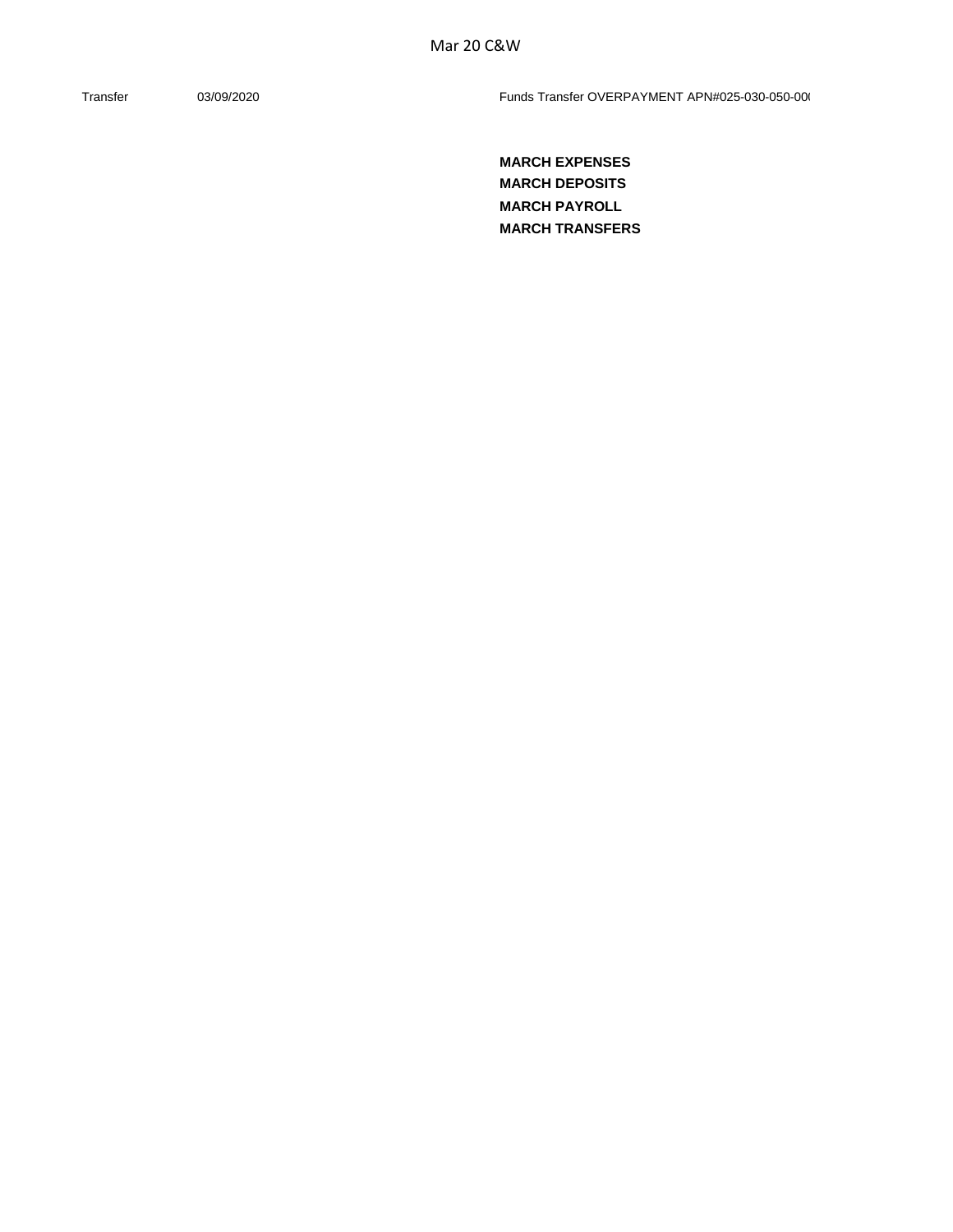Transfer 03/09/2020 03/09/2020 Funds Transfer OVERPAYMENT APN#025-030-050-000

**MARCH EXPENSES MARCH DEPOSITS MARCH PAYROLL MARCH TRANSFERS**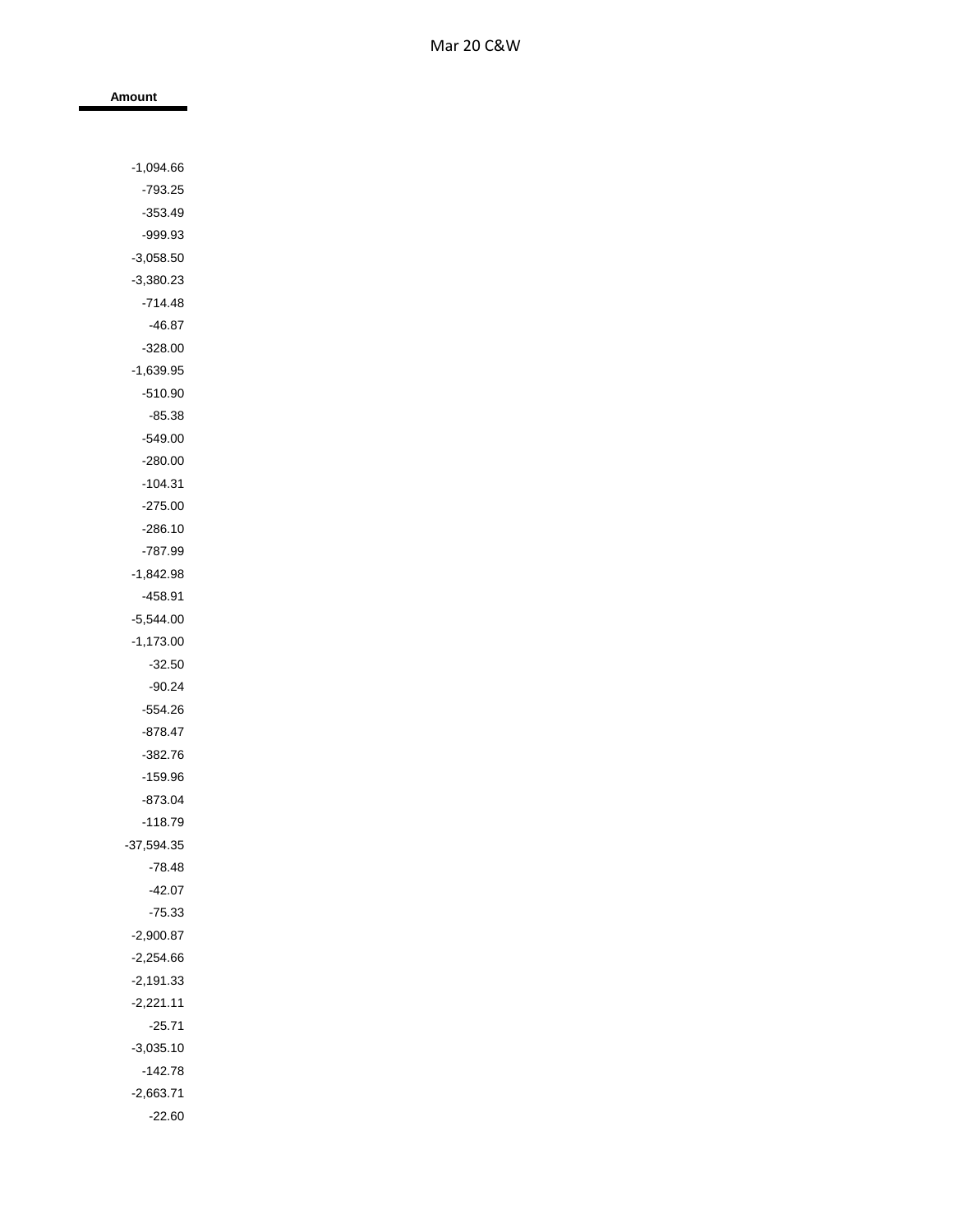| Amount                 |  |
|------------------------|--|
|                        |  |
|                        |  |
| $-1,094.66$            |  |
| $-793.25$              |  |
| $-353.49$              |  |
| -999.93                |  |
| $-3,058.50$            |  |
| $-3,380.23$            |  |
| -714.48                |  |
| $-46.87$               |  |
| $-328.00$              |  |
| $-1,639.95$            |  |
| $-510.90$              |  |
| $-85.38$               |  |
| $-549.00$              |  |
| $-280.00$              |  |
| $-104.31$<br>$-275.00$ |  |
|                        |  |
| $-286.10$<br>-787.99   |  |
| $-1,842.98$            |  |
| $-458.91$              |  |
| $-5,544.00$            |  |
| $-1,173.00$            |  |
| $-32.50$               |  |
| -90.24                 |  |
| -554.26                |  |
| -878.47                |  |
| $-382.76$              |  |
| $-159.96$              |  |
| $-873.04$              |  |
| $-118.79$              |  |
| $-37,594.35$           |  |
| $-78.48$               |  |
| $-42.07$               |  |
| $-75.33$               |  |
| $-2,900.87$            |  |
| $-2,254.66$            |  |
| $-2,191.33$            |  |
| $-2,221.11$            |  |
| $-25.71$               |  |
| $-3,035.10$            |  |
| $-142.78$              |  |
| $-2,663.71$            |  |

-22.60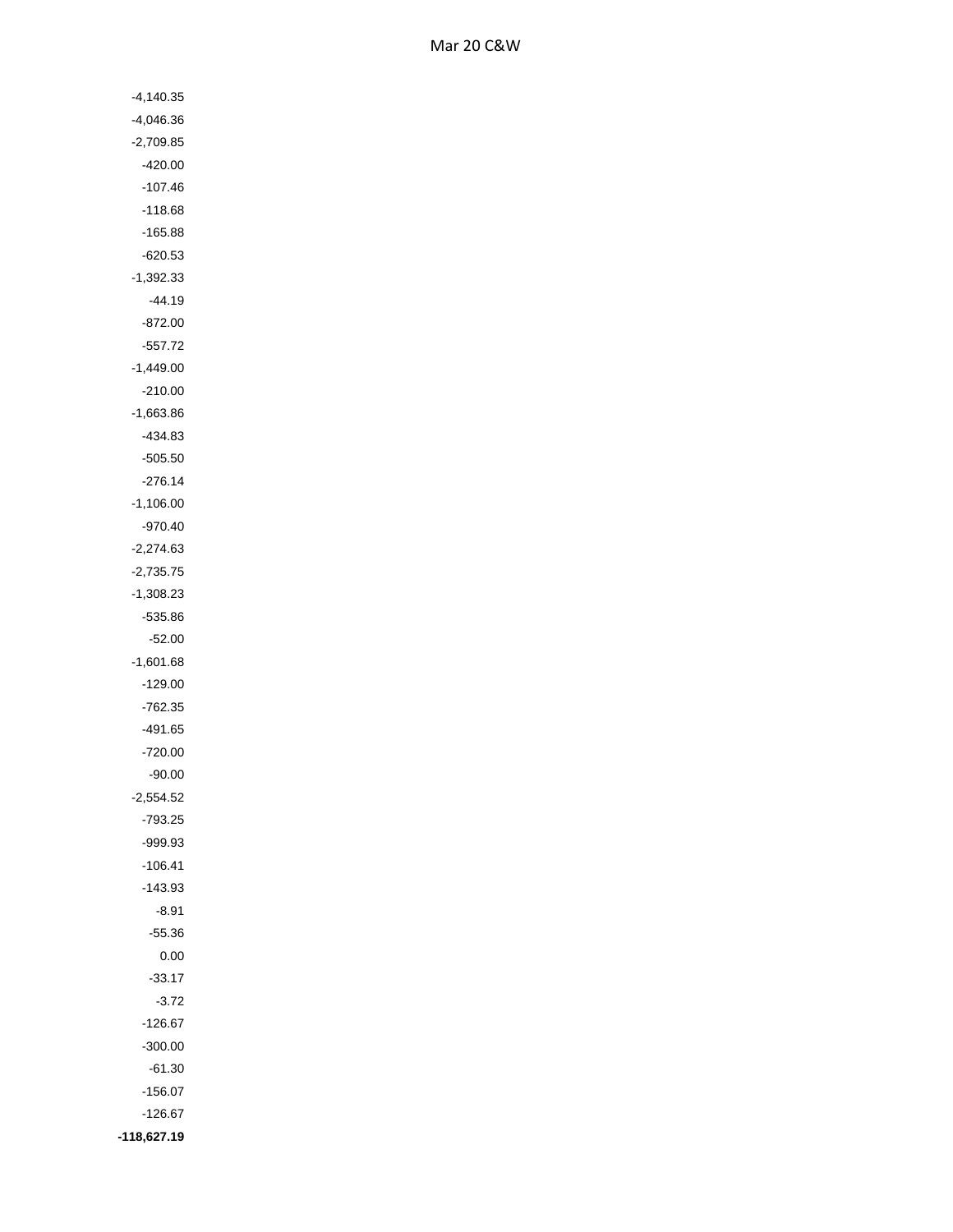| $-4,140.35$ |
|-------------|
| -4,046.36   |
| $-2,709.85$ |
| -420.00     |
| $-107.46$   |
| -118.68     |
| -165.88     |
| $-620.53$   |
| -1,392.33   |
|             |
| $-44.19$    |
| $-872.00$   |
| $-557.72$   |
| $-1,449.00$ |
| $-210.00$   |
| $-1,663.86$ |
| -434.83     |
| $-505.50$   |
| $-276.14$   |
| $-1,106.00$ |
| -970.40     |
| $-2,274.63$ |
| $-2,735.75$ |
| $-1,308.23$ |
| -535.86     |
| $-52.00$    |
| $-1,601.68$ |
| $-129.00$   |
| 762.35      |
| $-491.65$   |
| -720.00     |
| -90.00      |
| 2,554.52    |
| $-793.25$   |
| -999.93     |
| $-106.41$   |
| $-143.93$   |
| $-8.91$     |
| $-55.36$    |
| 0.00        |
| $-33.17$    |
| $-3.72$     |
| $-126.67$   |
|             |
| $-300.00$   |
| $-61.30$    |
| $-156.07$   |
| $-126.67$   |
| -118,627.19 |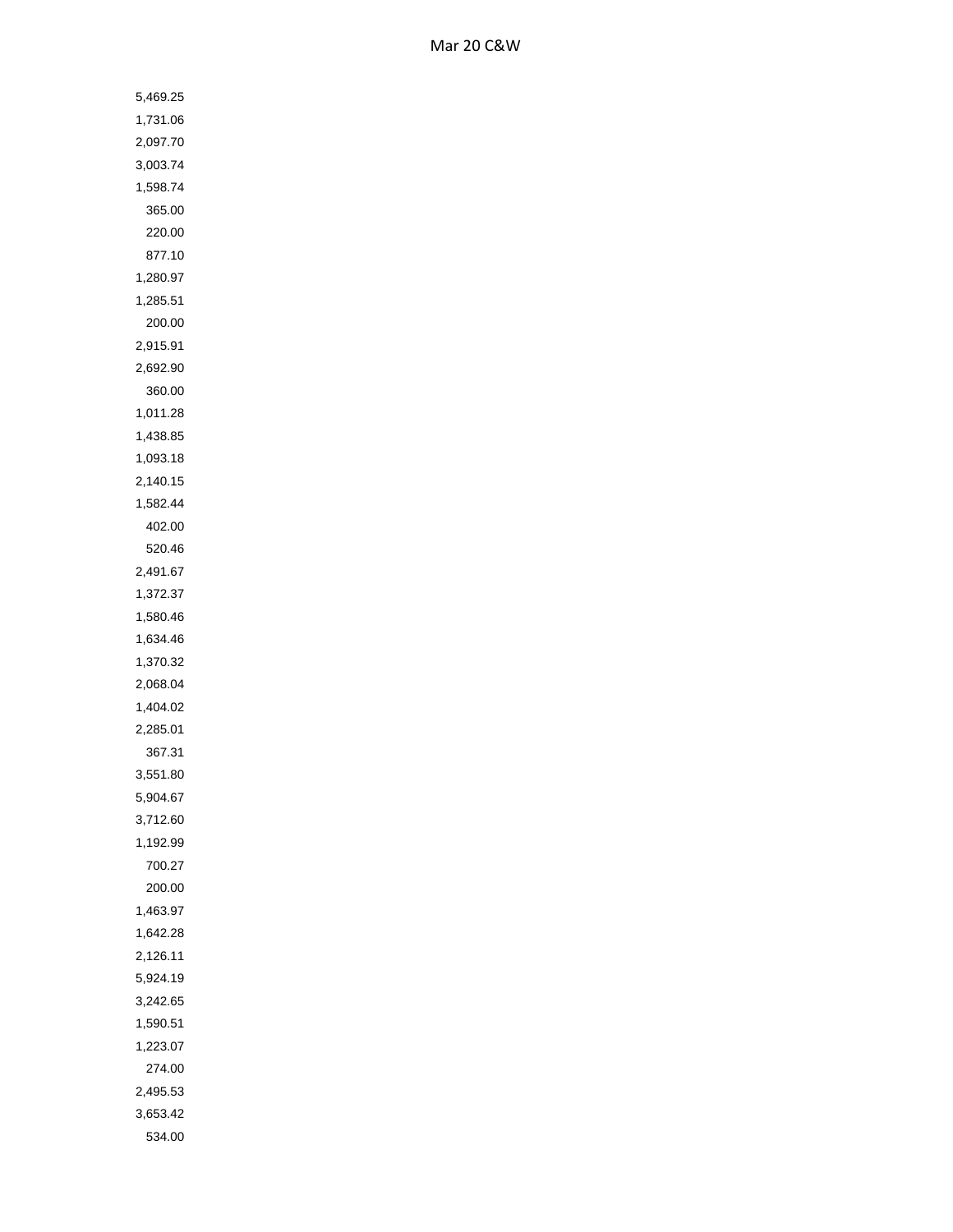| 5,469.25           |
|--------------------|
| 1,731.06           |
| 2,097.70           |
| 3,003.74           |
| 1,598.74           |
| 365.00             |
| 220.00             |
| 877.10             |
| 1,280.97           |
| 1,285.51           |
| 200.00             |
| 2,915.91           |
|                    |
| 2,692.90           |
| 360.00<br>1,011.28 |
|                    |
| 1,438.85           |
| 1,093.18           |
| 2,140.15           |
| 1,582.44           |
| 402.00             |
| 520.46             |
| 2,491.67           |
| 1,372.37           |
| 1,580.46           |
| 1,634.46           |
| 1,370.32           |
| 2,068.04           |
| 1,404.02           |
| 2,285.01           |
| 367.31             |
| 3,551.80           |
| 5,904.67           |
| 3,712.60           |
| 1,192.99           |
| 700.27             |
| 200.00             |
| 1,463.97           |
| 1,642.28           |
| 2,126.11           |
| 5,924.19           |
| 3,242.65           |
| 1,590.51           |
| 1,223.07           |
| 274.00             |
| 2,495.53           |
| 3,653.42           |
| 534.00             |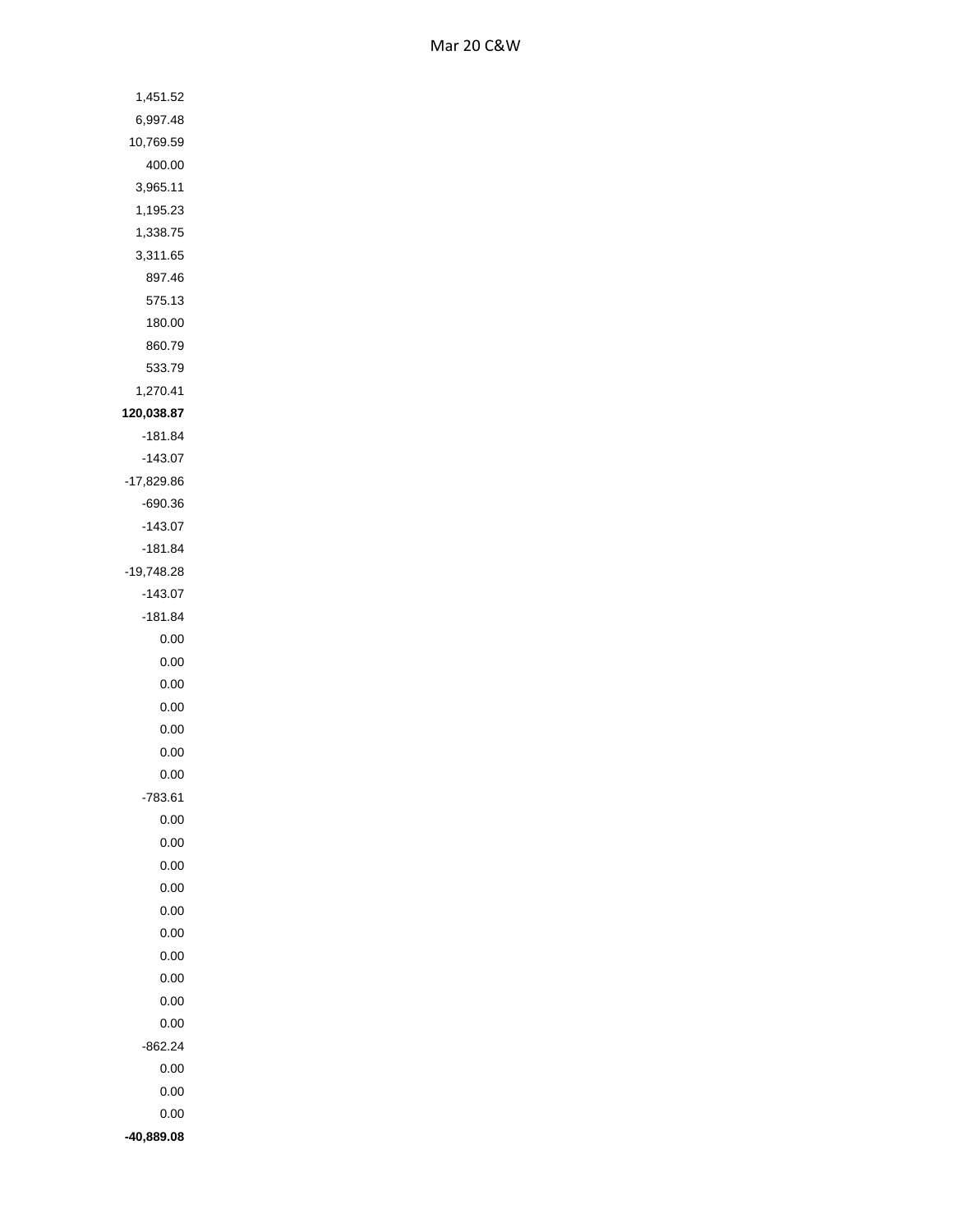| 1,451.52     |
|--------------|
| 6,997.48     |
| 10,769.59    |
| 400.00       |
| 3,965.11     |
| 1,195.23     |
| 1,338.75     |
| 3,311.65     |
| 897.46       |
| 575.13       |
| 180.00       |
| 860.79       |
| 533.79       |
|              |
| 1,270.41     |
| 120,038.87   |
| $-181.84$    |
| $-143.07$    |
| $-17,829.86$ |
| -690.36      |
| $-143.07$    |
| -181.84      |
| $-19,748.28$ |
| $-143.07$    |
| $-181.84$    |
| 0.00         |
| 0.00         |
| 0.00         |
| 0.00         |
| 0.00         |
| 0.00         |
| 0.00         |
| 783.61       |
| 0.00         |
| 0.00         |
| 0.00         |
| 0.00         |
| 0.00         |
| 0.00         |
| 0.00         |
| 0.00         |
| 0.00         |
| 0.00         |
|              |
| $-862.24$    |
| 0.00         |
| 0.00         |
| 0.00         |
| 40,889.08    |